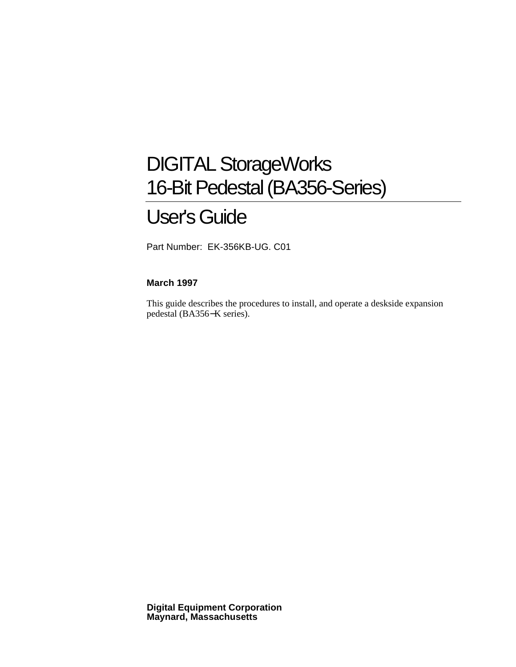## DIGITAL StorageWorks 16-Bit Pedestal (BA356-Series)

## User's Guide

Part Number: EK-356KB-UG. C01

#### **March 1997**

This guide describes the procedures to install, and operate a deskside expansion pedestal (BA356−K series).

**Digital Equipment Corporation Maynard, Massachusetts**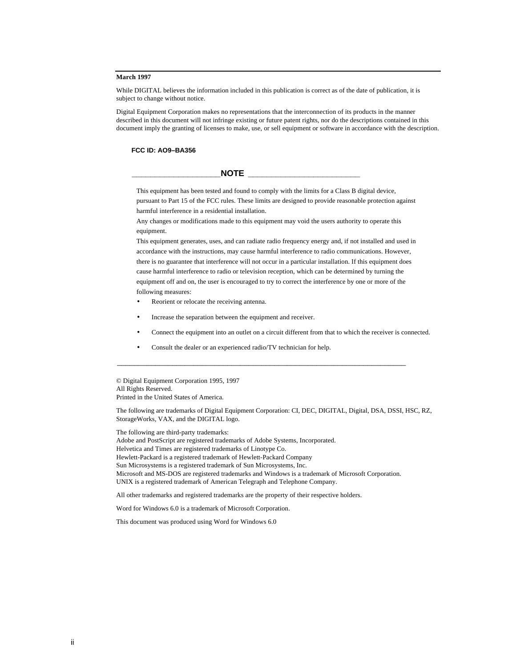#### **March 1997**

While DIGITAL believes the information included in this publication is correct as of the date of publication, it is subject to change without notice.

Digital Equipment Corporation makes no representations that the interconnection of its products in the manner described in this document will not infringe existing or future patent rights, nor do the descriptions contained in this document imply the granting of licenses to make, use, or sell equipment or software in accordance with the description.

#### **FCC ID: AO9–BA356**

#### $\blacksquare$   $\blacksquare$   $\blacksquare$   $\blacksquare$   $\blacksquare$   $\blacksquare$   $\blacksquare$   $\blacksquare$   $\blacksquare$   $\blacksquare$   $\blacksquare$   $\blacksquare$   $\blacksquare$   $\blacksquare$   $\blacksquare$   $\blacksquare$   $\blacksquare$   $\blacksquare$   $\blacksquare$   $\blacksquare$   $\blacksquare$   $\blacksquare$   $\blacksquare$   $\blacksquare$   $\blacksquare$   $\blacksquare$   $\blacksquare$   $\blacksquare$   $\blacksquare$   $\blacksquare$   $\blacksquare$   $\blacksquare$

This equipment has been tested and found to comply with the limits for a Class B digital device, pursuant to Part 15 of the FCC rules. These limits are designed to provide reasonable protection against harmful interference in a residential installation.

Any changes or modifications made to this equipment may void the users authority to operate this equipment.

This equipment generates, uses, and can radiate radio frequency energy and, if not installed and used in accordance with the instructions, may cause harmful interference to radio communications. However, there is no guarantee that interference will not occur in a particular installation. If this equipment does cause harmful interference to radio or television reception, which can be determined by turning the equipment off and on, the user is encouraged to try to correct the interference by one or more of the following measures:

- Reorient or relocate the receiving antenna.
- Increase the separation between the equipment and receiver.
- Connect the equipment into an outlet on a circuit different from that to which the receiver is connected.
- Consult the dealer or an experienced radio/TV technician for help.

© Digital Equipment Corporation 1995, 1997 All Rights Reserved. Printed in the United States of America.

The following are trademarks of Digital Equipment Corporation: CI, DEC, DIGITAL, Digital, DSA, DSSI, HSC, RZ, StorageWorks, VAX, and the DIGITAL logo.

The following are third-party trademarks: Adobe and PostScript are registered trademarks of Adobe Systems, Incorporated. Helvetica and Times are registered trademarks of Linotype Co. Hewlett-Packard is a registered trademark of Hewlett-Packard Company Sun Microsystems is a registered trademark of Sun Microsystems, Inc. Microsoft and MS-DOS are registered trademarks and Windows is a trademark of Microsoft Corporation. UNIX is a registered trademark of American Telegraph and Telephone Company.

\_\_\_\_\_\_\_\_\_\_\_\_\_\_\_\_\_\_\_\_\_\_\_\_\_\_\_\_\_\_\_\_\_\_\_\_\_\_\_\_\_\_\_\_\_\_\_\_\_\_\_\_\_\_\_\_\_\_\_\_\_\_\_\_\_\_\_\_

All other trademarks and registered trademarks are the property of their respective holders.

Word for Windows 6.0 is a trademark of Microsoft Corporation.

This document was produced using Word for Windows 6.0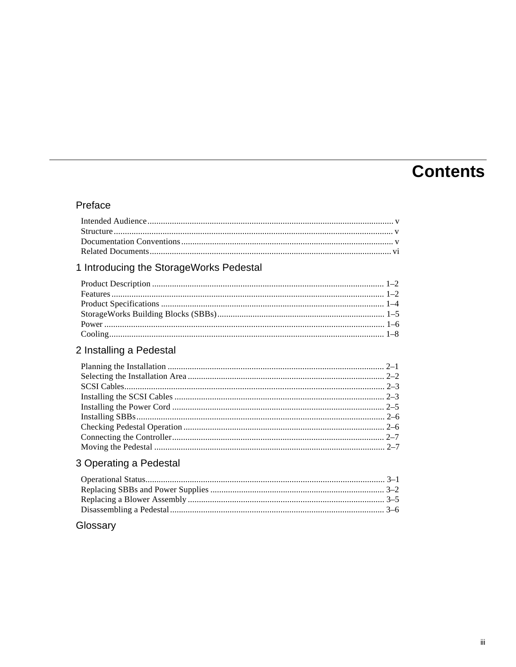## **Contents**

### Preface

### 1 Introducing the StorageWorks Pedestal

### 2 Installing a Pedestal

### 3 Operating a Pedestal

### Glossary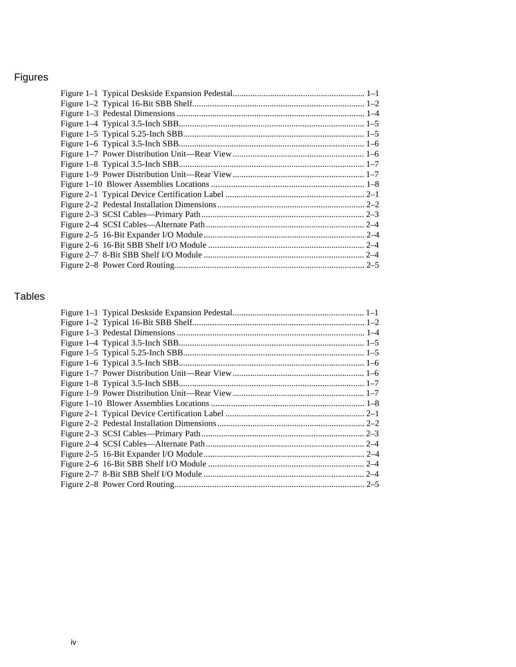## Figures

### **Tables**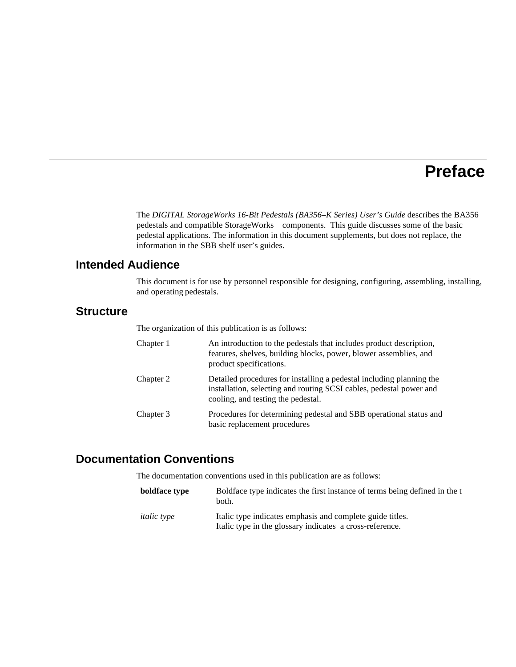## **Preface**

The *DIGITAL StorageWorks 16-Bit Pedestals (BA356–K Series) User's Guide* describes the BA356 pedestals and compatible StorageWorks™ components. This guide discusses some of the basic pedestal applications. The information in this document supplements, but does not replace, the information in the SBB shelf user's guides.

### **Intended Audience**

This document is for use by personnel responsible for designing, configuring, assembling, installing, and operating pedestals.

### **Structure**

The organization of this publication is as follows:

| Chapter 1 | An introduction to the pedestals that includes product description,<br>features, shelves, building blocks, power, blower assemblies, and<br>product specifications.               |
|-----------|-----------------------------------------------------------------------------------------------------------------------------------------------------------------------------------|
| Chapter 2 | Detailed procedures for installing a pedestal including planning the<br>installation, selecting and routing SCSI cables, pedestal power and<br>cooling, and testing the pedestal. |
| Chapter 3 | Procedures for determining pedestal and SBB operational status and<br>basic replacement procedures                                                                                |

### **Documentation Conventions**

The documentation conventions used in this publication are as follows:

| boldface type      | Boldface type indicates the first instance of terms being defined in the t<br>both.                                   |
|--------------------|-----------------------------------------------------------------------------------------------------------------------|
| <i>italic</i> type | Italic type indicates emphasis and complete guide titles.<br>Italic type in the glossary indicates a cross-reference. |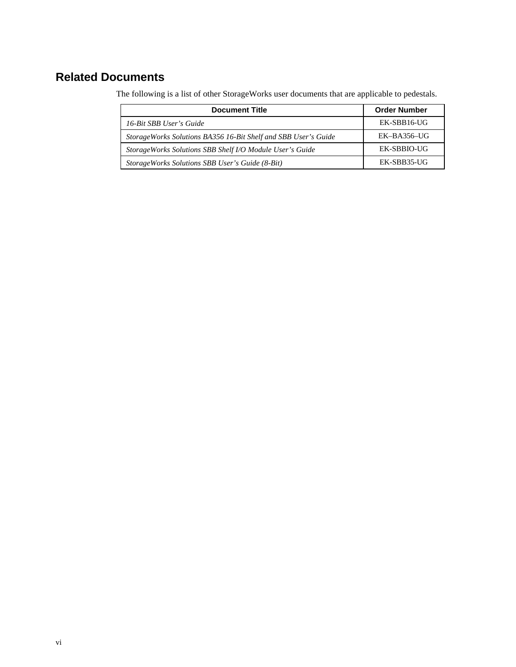### **Related Documents**

The following is a list of other StorageWorks user documents that are applicable to pedestals.

| <b>Document Title</b>                                           | <b>Order Number</b> |
|-----------------------------------------------------------------|---------------------|
| 16-Bit SBB User's Guide                                         | EK-SBB16-UG         |
| Storage Works Solutions BA356 16-Bit Shelf and SBB User's Guide | EK-BA356-UG         |
| StorageWorks Solutions SBB Shelf I/O Module User's Guide        | EK-SBBIO-UG         |
| StorageWorks Solutions SBB User's Guide (8-Bit)                 | EK-SBB35-UG         |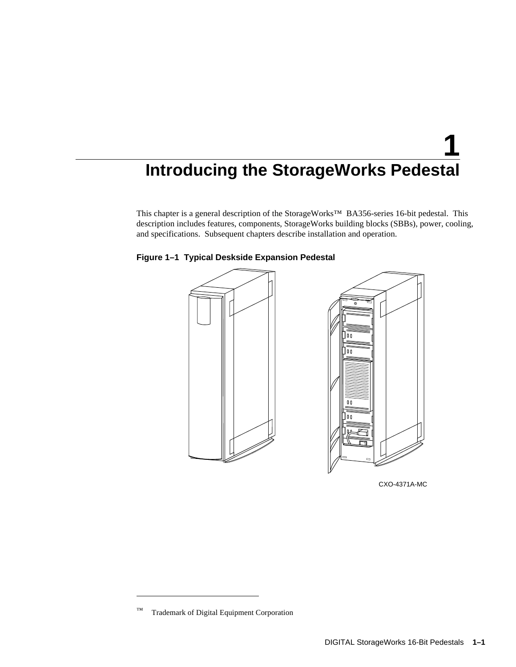# **1 Introducing the StorageWorks Pedestal**

This chapter is a general description of the StorageWorks™ BA356-series 16-bit pedestal. This description includes features, components, StorageWorks building blocks (SBBs), power, cooling, and specifications. Subsequent chapters describe installation and operation.



**Figure 1–1 Typical Deskside Expansion Pedestal**

CXO-4371A-MC

 $\overline{a}$ 

<sup>™</sup> Trademark of Digital Equipment Corporation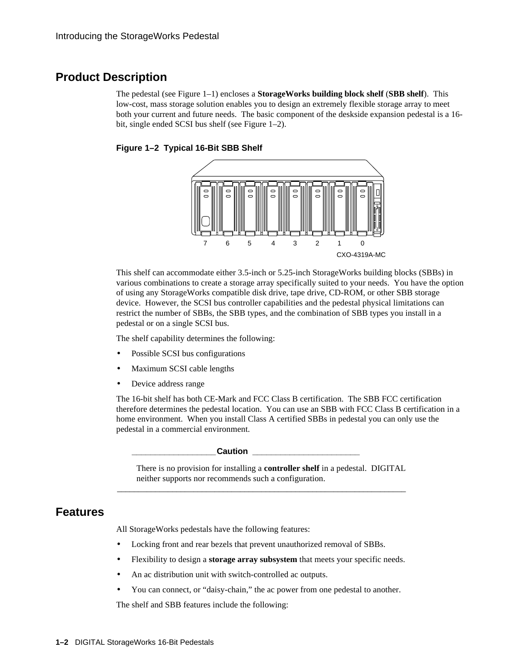### **Product Description**

The pedestal (see Figure 1–1) encloses a **StorageWorks building block shelf** (**SBB shelf**). This low-cost, mass storage solution enables you to design an extremely flexible storage array to meet both your current and future needs. The basic component of the deskside expansion pedestal is a 16 bit, single ended SCSI bus shelf (see Figure 1–2).





This shelf can accommodate either 3.5-inch or 5.25-inch StorageWorks building blocks (SBBs) in various combinations to create a storage array specifically suited to your needs. You have the option of using any StorageWorks compatible disk drive, tape drive, CD-ROM, or other SBB storage device. However, the SCSI bus controller capabilities and the pedestal physical limitations can restrict the number of SBBs, the SBB types, and the combination of SBB types you install in a pedestal or on a single SCSI bus.

The shelf capability determines the following:

- Possible SCSI bus configurations
- Maximum SCSI cable lengths
- Device address range

The 16-bit shelf has both CE-Mark and FCC Class B certification. The SBB FCC certification therefore determines the pedestal location. You can use an SBB with FCC Class B certification in a home environment. When you install Class A certified SBBs in pedestal you can only use the pedestal in a commercial environment.

**\_\_\_\_\_\_\_\_\_\_\_\_\_\_\_\_\_\_Caution \_\_\_\_\_\_\_\_\_\_\_\_\_\_\_\_\_\_\_\_\_\_\_**

There is no provision for installing a **controller shelf** in a pedestal. DIGITAL neither supports nor recommends such a configuration.

\_\_\_\_\_\_\_\_\_\_\_\_\_\_\_\_\_\_\_\_\_\_\_\_\_\_\_\_\_\_\_\_\_\_\_\_\_\_\_\_\_\_\_\_\_\_\_\_\_\_\_\_\_\_\_\_\_\_\_\_\_\_\_\_\_\_\_\_

#### **Features**

All StorageWorks pedestals have the following features:

- Locking front and rear bezels that prevent unauthorized removal of SBBs.
- Flexibility to design a **storage array subsystem** that meets your specific needs.
- An ac distribution unit with switch-controlled ac outputs.
- You can connect, or "daisy-chain," the ac power from one pedestal to another.

The shelf and SBB features include the following: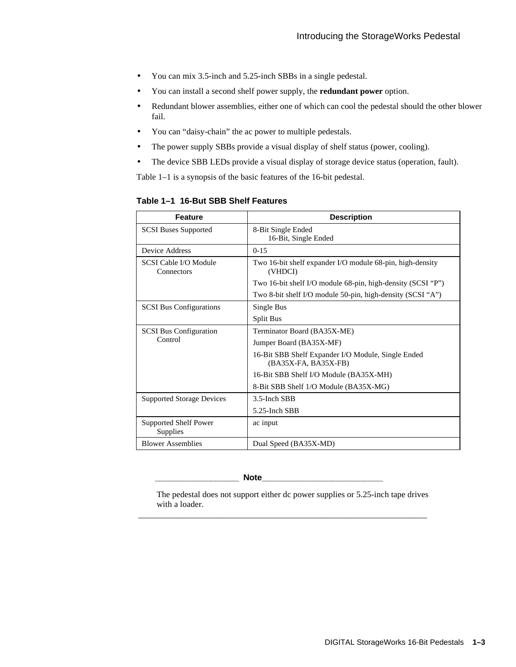- You can mix 3.5-inch and 5.25-inch SBBs in a single pedestal.
- You can install a second shelf power supply, the **redundant power** option.
- Redundant blower assemblies, either one of which can cool the pedestal should the other blower fail.
- You can "daisy-chain" the ac power to multiple pedestals.
- The power supply SBBs provide a visual display of shelf status (power, cooling).
- The device SBB LEDs provide a visual display of storage device status (operation, fault).

Table 1–1 is a synopsis of the basic features of the 16-bit pedestal.

**Table 1–1 16-But SBB Shelf Features**

| <b>Feature</b>                           | <b>Description</b>                                                         |  |  |  |
|------------------------------------------|----------------------------------------------------------------------------|--|--|--|
| <b>SCSI Buses Supported</b>              | 8-Bit Single Ended<br>16-Bit, Single Ended                                 |  |  |  |
| Device Address                           | $0 - 15$                                                                   |  |  |  |
| SCSI Cable I/O Module<br>Connectors      | Two 16-bit shelf expander I/O module 68-pin, high-density<br>(VHDCI)       |  |  |  |
|                                          | Two 16-bit shelf I/O module 68-pin, high-density (SCSI "P")                |  |  |  |
|                                          | Two 8-bit shelf I/O module 50-pin, high-density (SCSI "A")                 |  |  |  |
| <b>SCSI Bus Configurations</b>           | Single Bus                                                                 |  |  |  |
|                                          | <b>Split Bus</b>                                                           |  |  |  |
| <b>SCSI Bus Configuration</b>            | Terminator Board (BA35X-ME)                                                |  |  |  |
| Control                                  | Jumper Board (BA35X-MF)                                                    |  |  |  |
|                                          | 16-Bit SBB Shelf Expander I/O Module, Single Ended<br>(BA35X-FA, BA35X-FB) |  |  |  |
|                                          | 16-Bit SBB Shelf I/O Module (BA35X-MH)                                     |  |  |  |
|                                          | 8-Bit SBB Shelf 1/O Module (BA35X-MG)                                      |  |  |  |
| <b>Supported Storage Devices</b>         | 3.5-Inch SBB                                                               |  |  |  |
|                                          | 5.25-Inch SBB                                                              |  |  |  |
| <b>Supported Shelf Power</b><br>Supplies | ac input                                                                   |  |  |  |
| <b>Blower Assemblies</b>                 | Dual Speed (BA35X-MD)                                                      |  |  |  |

#### Note\_

The pedestal does not support either dc power supplies or 5.25-inch tape drives with a loader.

\_\_\_\_\_\_\_\_\_\_\_\_\_\_\_\_\_\_\_\_\_\_\_\_\_\_\_\_\_\_\_\_\_\_\_\_\_\_\_\_\_\_\_\_\_\_\_\_\_\_\_\_\_\_\_\_\_\_\_\_\_\_\_\_\_\_\_\_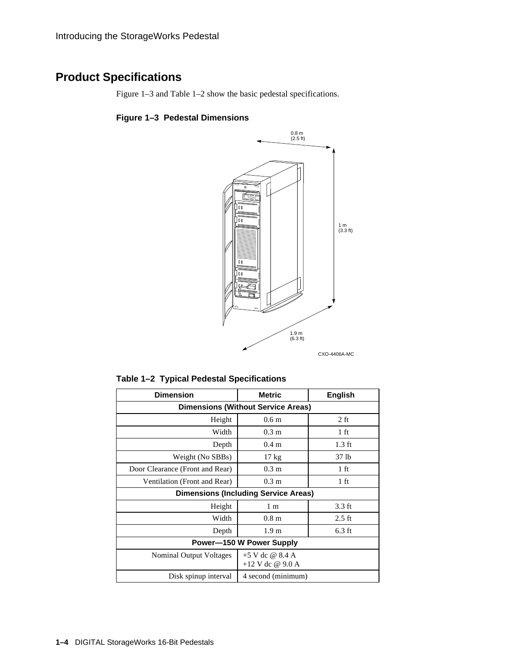### **Product Specifications**

Figure 1–3 and Table 1–2 show the basic pedestal specifications.

### **Figure 1–3 Pedestal Dimensions**



**Table 1–2 Typical Pedestal Specifications**

| <b>Dimension</b>                                                          | <b>Metric</b>                               | <b>English</b> |  |  |  |  |
|---------------------------------------------------------------------------|---------------------------------------------|----------------|--|--|--|--|
| <b>Dimensions (Without Service Areas)</b>                                 |                                             |                |  |  |  |  |
| Height                                                                    | 0.6 <sub>m</sub>                            | $2 \text{ ft}$ |  |  |  |  |
| Width                                                                     | 0.3 <sub>m</sub>                            | 1 ft           |  |  |  |  |
| Depth                                                                     | 0.4 <sub>m</sub>                            | $1.3$ ft       |  |  |  |  |
| Weight (No SBBs)                                                          | $17 \text{ kg}$                             | 37 lb          |  |  |  |  |
| Door Clearance (Front and Rear)                                           | 0.3 <sub>m</sub>                            | 1 ft           |  |  |  |  |
| Ventilation (Front and Rear)                                              | 0.3 <sub>m</sub>                            | 1 ft           |  |  |  |  |
|                                                                           | <b>Dimensions (Including Service Areas)</b> |                |  |  |  |  |
| Height                                                                    | 1 <sub>m</sub>                              | 3.3 ft         |  |  |  |  |
| Width                                                                     | 0.8 <sub>m</sub>                            | $2.5$ ft       |  |  |  |  |
| Depth                                                                     | 1.9 <sub>m</sub>                            | $6.3$ ft       |  |  |  |  |
| Power-150 W Power Supply                                                  |                                             |                |  |  |  |  |
| $+5$ V dc @ 8.4 A<br><b>Nominal Output Voltages</b><br>$+12$ V dc @ 9.0 A |                                             |                |  |  |  |  |
| Disk spinup interval<br>4 second (minimum)                                |                                             |                |  |  |  |  |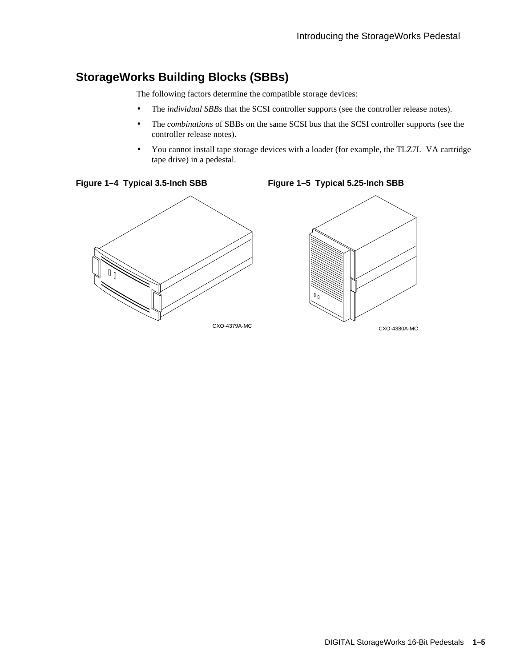### **StorageWorks Building Blocks (SBBs)**

The following factors determine the compatible storage devices:

- The *individual SBBs* that the SCSI controller supports (see the controller release notes).
- The *combinations* of SBBs on the same SCSI bus that the SCSI controller supports (see the controller release notes).
- You cannot install tape storage devices with a loader (for example, the TLZ7L–VA cartridge tape drive) in a pedestal.



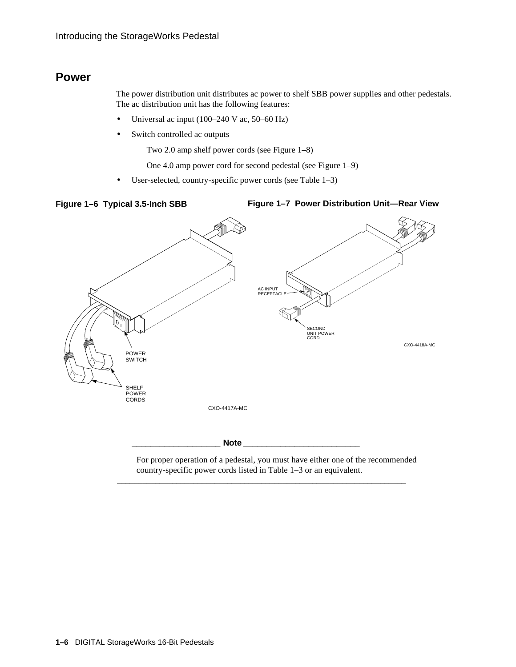### **Power**

The power distribution unit distributes ac power to shelf SBB power supplies and other pedestals. The ac distribution unit has the following features:

- Universal ac input (100–240 V ac, 50–60 Hz)
- Switch controlled ac outputs
	- Two 2.0 amp shelf power cords (see Figure 1–8)
	- One 4.0 amp power cord for second pedestal (see Figure 1–9)
- User-selected, country-specific power cords (see Table 1–3)

#### **Figure 1–6 Typical 3.5-Inch SBB**

#### **Figure 1–7 Power Distribution Unit—Rear View**



For proper operation of a pedestal, you must have either one of the recommended country-specific power cords listed in Table 1–3 or an equivalent.

\_\_\_\_\_\_\_\_\_\_\_\_\_\_\_\_\_\_\_\_\_\_\_\_\_\_\_\_\_\_\_\_\_\_\_\_\_\_\_\_\_\_\_\_\_\_\_\_\_\_\_\_\_\_\_\_\_\_\_\_\_\_\_\_\_\_\_\_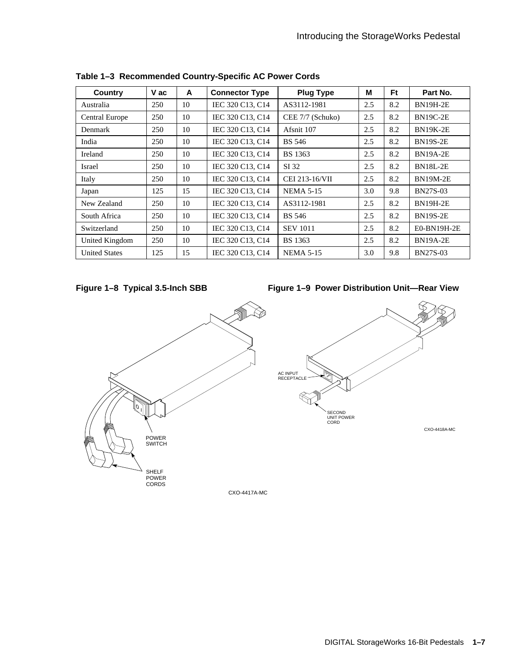| Country               | V ac | A  | <b>Connector Type</b> | <b>Plug Type</b> | M   | <b>Ft</b> | Part No.        |
|-----------------------|------|----|-----------------------|------------------|-----|-----------|-----------------|
| Australia             | 250  | 10 | IEC 320 C13, C14      | AS3112-1981      | 2.5 | 8.2       | <b>BN19H-2E</b> |
| <b>Central Europe</b> | 250  | 10 | IEC 320 C13, C14      | CEE 7/7 (Schuko) | 2.5 | 8.2       | <b>BN19C-2E</b> |
| Denmark               | 250  | 10 | IEC 320 C13, C14      | Afsnit 107       | 2.5 | 8.2       | <b>BN19K-2E</b> |
| India                 | 250  | 10 | IEC 320 C13, C14      | <b>BS</b> 546    | 2.5 | 8.2       | <b>BN19S-2E</b> |
| Ireland               | 250  | 10 | IEC 320 C13, C14      | <b>BS</b> 1363   | 2.5 | 8.2       | <b>BN19A-2E</b> |
| Israel                | 250  | 10 | IEC 320 C13, C14      | SI 32            | 2.5 | 8.2       | <b>BN18L-2E</b> |
| Italy                 | 250  | 10 | IEC 320 C13, C14      | CEI 213-16/VII   | 2.5 | 8.2       | <b>BN19M-2E</b> |
| Japan                 | 125  | 15 | IEC 320 C13, C14      | <b>NEMA 5-15</b> | 3.0 | 9.8       | <b>BN27S-03</b> |
| New Zealand           | 250  | 10 | IEC 320 C13, C14      | AS3112-1981      | 2.5 | 8.2       | <b>BN19H-2E</b> |
| South Africa          | 250  | 10 | IEC 320 C13, C14      | <b>BS</b> 546    | 2.5 | 8.2       | <b>BN19S-2E</b> |
| Switzerland           | 250  | 10 | IEC 320 C13, C14      | <b>SEV 1011</b>  | 2.5 | 8.2       | E0-BN19H-2E     |
| United Kingdom        | 250  | 10 | IEC 320 C13, C14      | <b>BS</b> 1363   | 2.5 | 8.2       | <b>BN19A-2E</b> |
| <b>United States</b>  | 125  | 15 | IEC 320 C13, C14      | <b>NEMA 5-15</b> | 3.0 | 9.8       | <b>BN27S-03</b> |

**Table 1–3 Recommended Country-Specific AC Power Cords**



**Figure 1–9 Power Distribution Unit—Rear View**

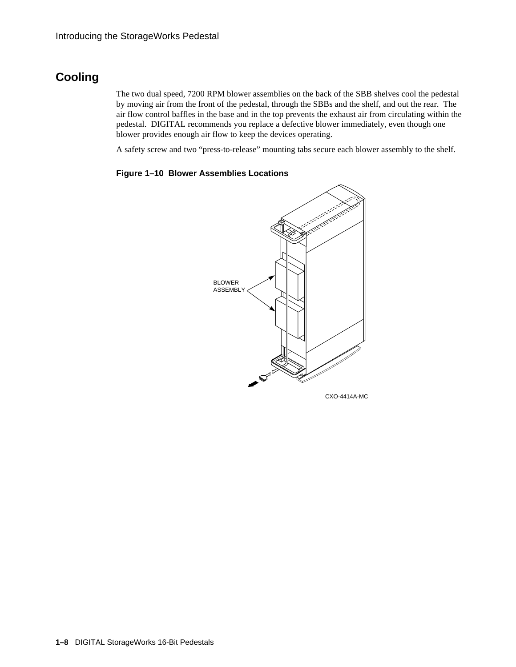### **Cooling**

The two dual speed, 7200 RPM blower assemblies on the back of the SBB shelves cool the pedestal by moving air from the front of the pedestal, through the SBBs and the shelf, and out the rear. The air flow control baffles in the base and in the top prevents the exhaust air from circulating within the pedestal. DIGITAL recommends you replace a defective blower immediately, even though one blower provides enough air flow to keep the devices operating.

A safety screw and two "press-to-release" mounting tabs secure each blower assembly to the shelf.

#### **Figure 1–10 Blower Assemblies Locations**

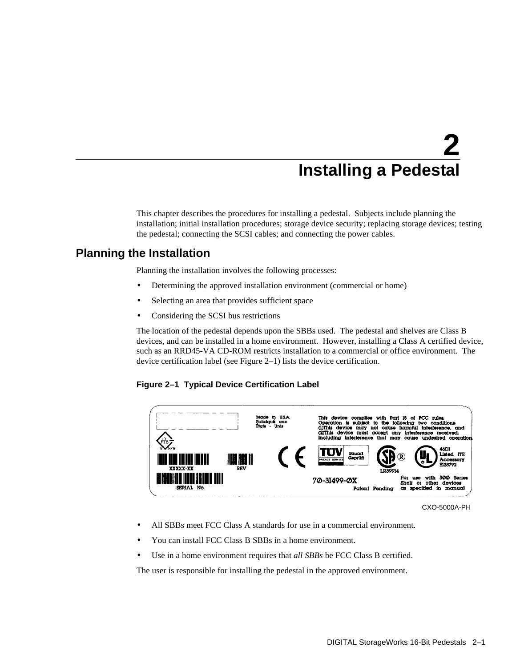## **2 Installing a Pedestal**

This chapter describes the procedures for installing a pedestal. Subjects include planning the installation; initial installation procedures; storage device security; replacing storage devices; testing the pedestal; connecting the SCSI cables; and connecting the power cables.

### **Planning the Installation**

Planning the installation involves the following processes:

- Determining the approved installation environment (commercial or home)
- Selecting an area that provides sufficient space
- Considering the SCSI bus restrictions

The location of the pedestal depends upon the SBBs used. The pedestal and shelves are Class B devices, and can be installed in a home environment. However, installing a Class A certified device, such as an RRD45-VA CD-ROM restricts installation to a commercial or office environment. The device certification label (see Figure 2–1) lists the device certification.

#### **Figure 2–1 Typical Device Certification Label**



CXO-5000A-PH

- All SBBs meet FCC Class A standards for use in a commercial environment.
- You can install FCC Class B SBBs in a home environment.
- Use in a home environment requires that *all SBBs* be FCC Class B certified.

The user is responsible for installing the pedestal in the approved environment.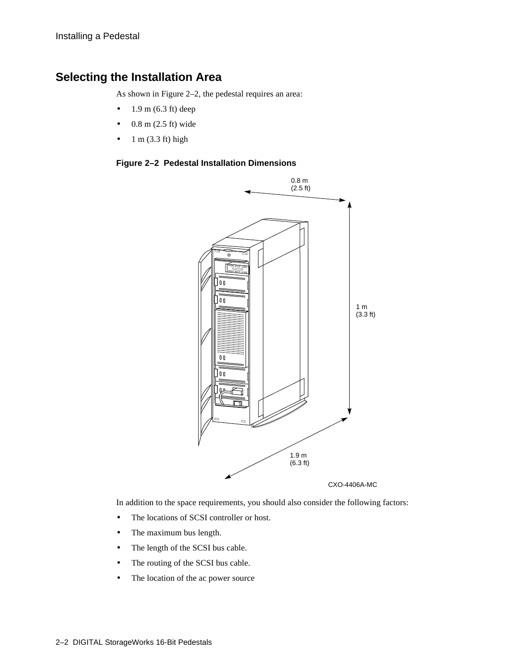### **Selecting the Installation Area**

As shown in Figure 2–2, the pedestal requires an area:

- $1.9 \text{ m}$  (6.3 ft) deep
- $\bullet$  0.8 m (2.5 ft) wide
- $\bullet$  1 m (3.3 ft) high

#### **Figure 2–2 Pedestal Installation Dimensions**



In addition to the space requirements, you should also consider the following factors:

- The locations of SCSI controller or host.
- The maximum bus length.
- The length of the SCSI bus cable.
- The routing of the SCSI bus cable.
- The location of the ac power source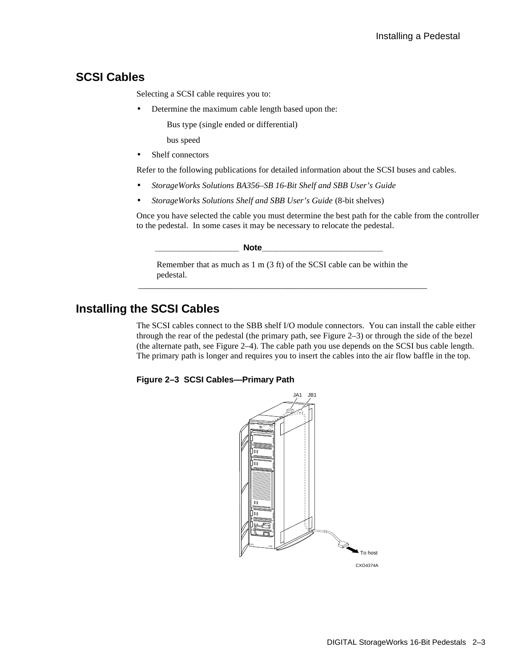### **SCSI Cables**

Selecting a SCSI cable requires you to:

- Determine the maximum cable length based upon the:
	- Bus type (single ended or differential)
	- bus speed
- Shelf connectors

Refer to the following publications for detailed information about the SCSI buses and cables.

- *StorageWorks Solutions BA356–SB 16-Bit Shelf and SBB User's Guide*
- *StorageWorks Solutions Shelf and SBB User's Guide* (8-bit shelves)

Once you have selected the cable you must determine the best path for the cable from the controller to the pedestal. In some cases it may be necessary to relocate the pedestal.

```
\textbf{Note}
```
Remember that as much as 1 m (3 ft) of the SCSI cable can be within the pedestal. \_\_\_\_\_\_\_\_\_\_\_\_\_\_\_\_\_\_\_\_\_\_\_\_\_\_\_\_\_\_\_\_\_\_\_\_\_\_\_\_\_\_\_\_\_\_\_\_\_\_\_\_\_\_\_\_\_\_\_\_\_\_\_\_\_\_\_\_

### **Installing the SCSI Cables**

The SCSI cables connect to the SBB shelf I/O module connectors. You can install the cable either through the rear of the pedestal (the primary path, see Figure 2–3) or through the side of the bezel (the alternate path, see Figure 2–4). The cable path you use depends on the SCSI bus cable length. The primary path is longer and requires you to insert the cables into the air flow baffle in the top.



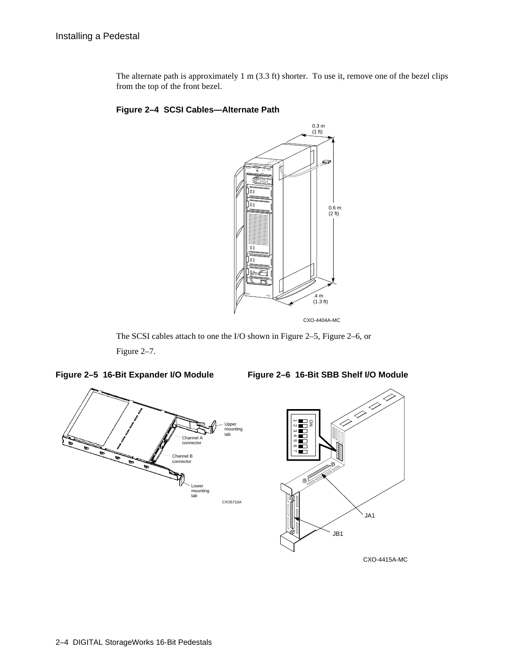The alternate path is approximately 1 m (3.3 ft) shorter. To use it, remove one of the bezel clips from the top of the front bezel.





The SCSI cables attach to one the I/O shown in Figure 2–5, Figure 2–6, or Figure 2–7.



CXO-4415A-MC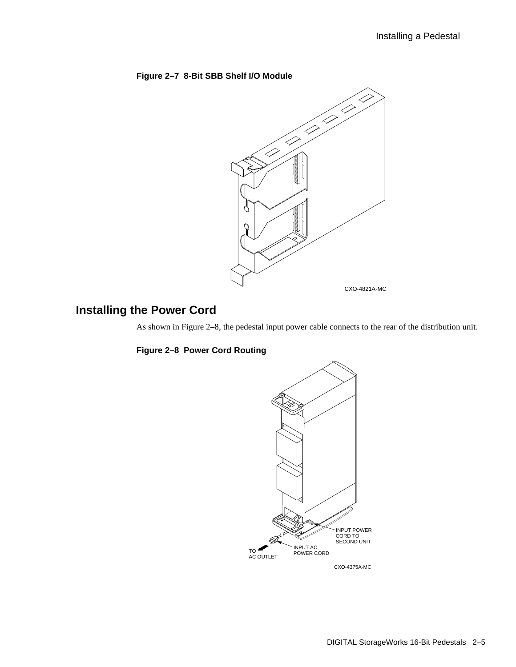

### **Installing the Power Cord**

As shown in Figure 2–8, the pedestal input power cable connects to the rear of the distribution unit.

#### **Figure 2–8 Power Cord Routing**

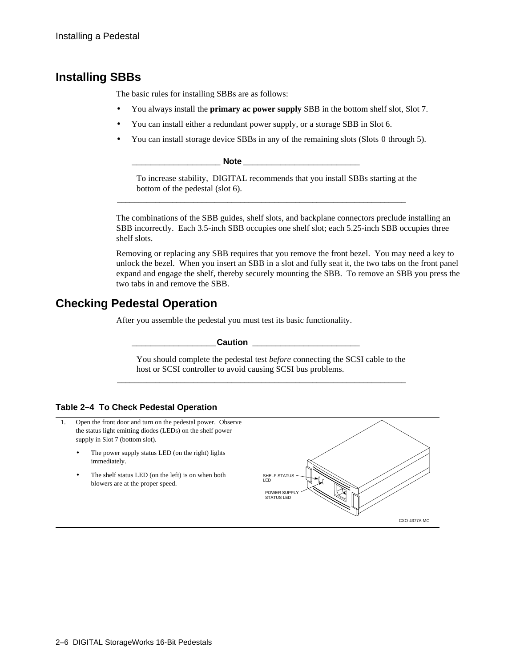### **Installing SBBs**

The basic rules for installing SBBs are as follows:

- You always install the **primary ac power supply** SBB in the bottom shelf slot, Slot 7.
- You can install either a redundant power supply, or a storage SBB in Slot 6.
- You can install storage device SBBs in any of the remaining slots (Slots 0 through 5).

 $Note$ 

To increase stability, DIGITAL recommends that you install SBBs starting at the bottom of the pedestal (slot 6).

\_\_\_\_\_\_\_\_\_\_\_\_\_\_\_\_\_\_\_\_\_\_\_\_\_\_\_\_\_\_\_\_\_\_\_\_\_\_\_\_\_\_\_\_\_\_\_\_\_\_\_\_\_\_\_\_\_\_\_\_\_\_\_\_\_\_\_\_

The combinations of the SBB guides, shelf slots, and backplane connectors preclude installing an SBB incorrectly. Each 3.5-inch SBB occupies one shelf slot; each 5.25-inch SBB occupies three shelf slots.

Removing or replacing any SBB requires that you remove the front bezel. You may need a key to unlock the bezel. When you insert an SBB in a slot and fully seat it, the two tabs on the front panel expand and engage the shelf, thereby securely mounting the SBB. To remove an SBB you press the two tabs in and remove the SBB.

### **Checking Pedestal Operation**

After you assemble the pedestal you must test its basic functionality.

**Caution**  <u>Little</u> **Little and Caution Little and Caution Little and Caution** 

You should complete the pedestal test *before* connecting the SCSI cable to the host or SCSI controller to avoid causing SCSI bus problems.

\_\_\_\_\_\_\_\_\_\_\_\_\_\_\_\_\_\_\_\_\_\_\_\_\_\_\_\_\_\_\_\_\_\_\_\_\_\_\_\_\_\_\_\_\_\_\_\_\_\_\_\_\_\_\_\_\_\_\_\_\_\_\_\_\_\_\_\_

#### **Table 2–4 To Check Pedestal Operation**

- 1. Open the front door and turn on the pedestal power. Observe the status light emitting diodes (LEDs) on the shelf power supply in Slot 7 (bottom slot).
	- The power supply status LED (on the right) lights immediately.
	- The shelf status LED (on the left) is on when both blowers are at the proper speed.

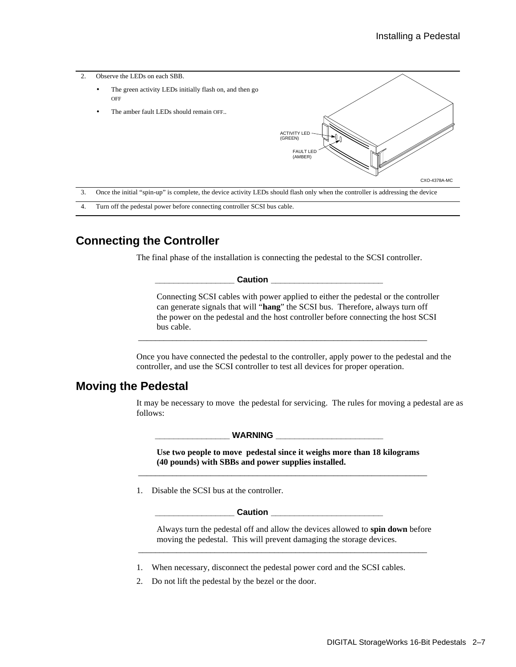

4. Turn off the pedestal power before connecting controller SCSI bus cable.

### **Connecting the Controller**

The final phase of the installation is connecting the pedestal to the SCSI controller.

 $\blacksquare$  Caution  $\blacksquare$ 

Connecting SCSI cables with power applied to either the pedestal or the controller can generate signals that will "**hang**" the SCSI bus. Therefore, always turn off the power on the pedestal and the host controller before connecting the host SCSI bus cable.

Once you have connected the pedestal to the controller, apply power to the pedestal and the controller, and use the SCSI controller to test all devices for proper operation.

\_\_\_\_\_\_\_\_\_\_\_\_\_\_\_\_\_\_\_\_\_\_\_\_\_\_\_\_\_\_\_\_\_\_\_\_\_\_\_\_\_\_\_\_\_\_\_\_\_\_\_\_\_\_\_\_\_\_\_\_\_\_\_\_\_\_\_\_

### **Moving the Pedestal**

It may be necessary to move the pedestal for servicing. The rules for moving a pedestal are as follows:

WARNING \_

**Use two people to move pedestal since it weighs more than 18 kilograms (40 pounds) with SBBs and power supplies installed.**

\_\_\_\_\_\_\_\_\_\_\_\_\_\_\_\_\_\_\_\_\_\_\_\_\_\_\_\_\_\_\_\_\_\_\_\_\_\_\_\_\_\_\_\_\_\_\_\_\_\_\_\_\_\_\_\_\_\_\_\_\_\_\_\_\_\_\_\_

1. Disable the SCSI bus at the controller.

 $\sf {Caution}$ 

Always turn the pedestal off and allow the devices allowed to **spin down** before moving the pedestal. This will prevent damaging the storage devices.

\_\_\_\_\_\_\_\_\_\_\_\_\_\_\_\_\_\_\_\_\_\_\_\_\_\_\_\_\_\_\_\_\_\_\_\_\_\_\_\_\_\_\_\_\_\_\_\_\_\_\_\_\_\_\_\_\_\_\_\_\_\_\_\_\_\_\_\_

- 1. When necessary, disconnect the pedestal power cord and the SCSI cables.
- 2. Do not lift the pedestal by the bezel or the door.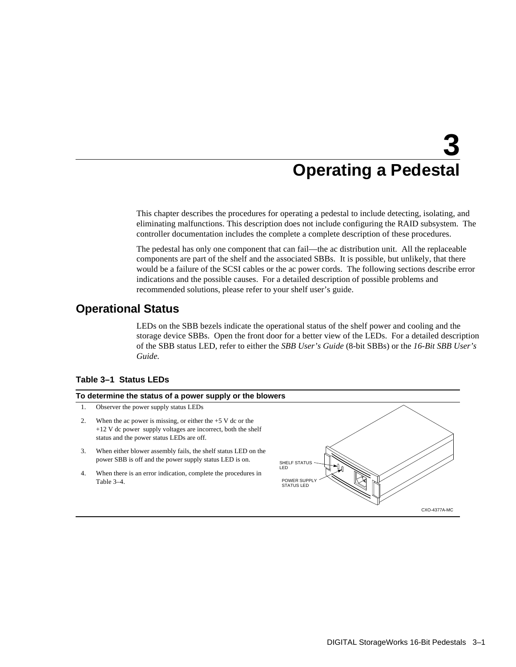## **3 Operating a Pedestal**

This chapter describes the procedures for operating a pedestal to include detecting, isolating, and eliminating malfunctions. This description does not include configuring the RAID subsystem. The controller documentation includes the complete a complete description of these procedures.

The pedestal has only one component that can fail—the ac distribution unit. All the replaceable components are part of the shelf and the associated SBBs. It is possible, but unlikely, that there would be a failure of the SCSI cables or the ac power cords. The following sections describe error indications and the possible causes. For a detailed description of possible problems and recommended solutions, please refer to your shelf user's guide.

### **Operational Status**

LEDs on the SBB bezels indicate the operational status of the shelf power and cooling and the storage device SBBs. Open the front door for a better view of the LEDs. For a detailed description of the SBB status LED, refer to either the *SBB User's Guide* (8-bit SBBs) or the *16-Bit SBB User's Guide.*

#### **Table 3–1 Status LEDs**

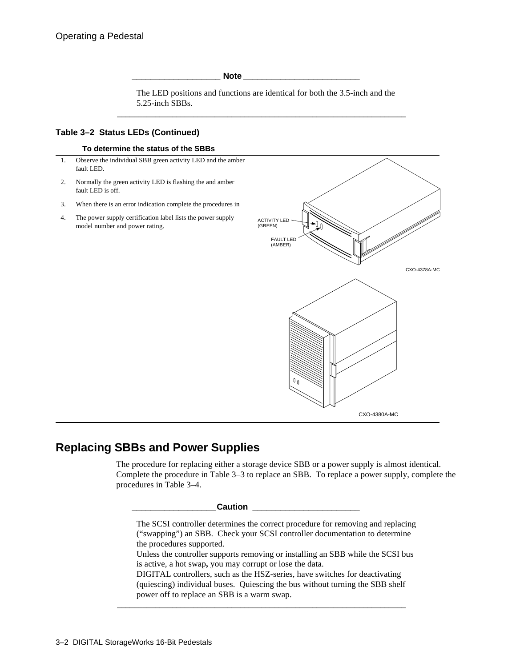**\_\_\_\_\_\_\_\_\_\_\_\_\_\_\_\_\_\_\_ Note \_\_\_\_\_\_\_\_\_\_\_\_\_\_\_\_\_\_\_\_\_\_\_\_\_**

The LED positions and functions are identical for both the 3.5-inch and the 5.25-inch SBBs.

\_\_\_\_\_\_\_\_\_\_\_\_\_\_\_\_\_\_\_\_\_\_\_\_\_\_\_\_\_\_\_\_\_\_\_\_\_\_\_\_\_\_\_\_\_\_\_\_\_\_\_\_\_\_\_\_\_\_\_\_\_\_\_\_\_\_\_\_

#### **Table 3–2 Status LEDs (Continued)**



### **Replacing SBBs and Power Supplies**

The procedure for replacing either a storage device SBB or a power supply is almost identical. Complete the procedure in Table 3–3 to replace an SBB. To replace a power supply, complete the procedures in Table 3–4.

#### **\_\_\_\_\_\_\_\_\_\_\_\_\_\_\_\_\_\_Caution \_\_\_\_\_\_\_\_\_\_\_\_\_\_\_\_\_\_\_\_\_\_\_**

The SCSI controller determines the correct procedure for removing and replacing ("swapping") an SBB. Check your SCSI controller documentation to determine the procedures supported.

Unless the controller supports removing or installing an SBB while the SCSI bus is active, a hot swap**,** you may corrupt or lose the data.

DIGITAL controllers, such as the HSZ-series, have switches for deactivating (quiescing) individual buses. Quiescing the bus without turning the SBB shelf power off to replace an SBB is a warm swap.

\_\_\_\_\_\_\_\_\_\_\_\_\_\_\_\_\_\_\_\_\_\_\_\_\_\_\_\_\_\_\_\_\_\_\_\_\_\_\_\_\_\_\_\_\_\_\_\_\_\_\_\_\_\_\_\_\_\_\_\_\_\_\_\_\_\_\_\_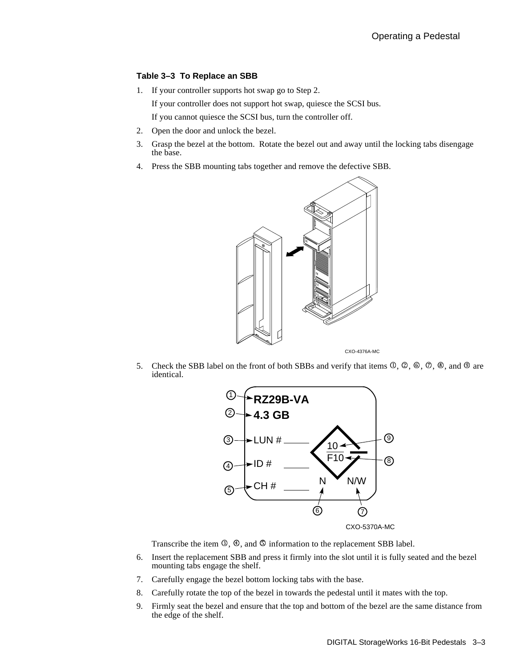#### **Table 3–3 To Replace an SBB**

1. If your controller supports hot swap go to Step 2.

If your controller does not support hot swap, quiesce the SCSI bus.

If you cannot quiesce the SCSI bus, turn the controller off.

- 2. Open the door and unlock the bezel.
- 3. Grasp the bezel at the bottom. Rotate the bezel out and away until the locking tabs disengage the base.
- 4. Press the SBB mounting tabs together and remove the defective SBB.



5. Check the SBB label on the front of both SBBs and verify that items  $\mathcal{O}, \mathcal{O}, \mathcal{O}, \mathcal{O}, \mathcal{O}, \mathcal{O}$ , and  $\mathcal{O}$  are identical.



Transcribe the item  $\mathbb{O}$ ,  $\mathbb{O}$ , and  $\mathbb{O}$  information to the replacement SBB label.

- 6. Insert the replacement SBB and press it firmly into the slot until it is fully seated and the bezel mounting tabs engage the shelf.
- 7. Carefully engage the bezel bottom locking tabs with the base.
- 8. Carefully rotate the top of the bezel in towards the pedestal until it mates with the top.
- 9. Firmly seat the bezel and ensure that the top and bottom of the bezel are the same distance from the edge of the shelf.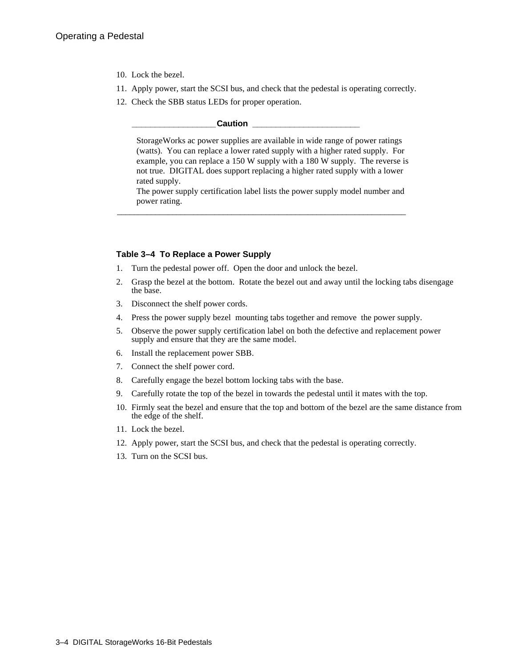- 10. Lock the bezel.
- 11. Apply power, start the SCSI bus, and check that the pedestal is operating correctly.
- 12. Check the SBB status LEDs for proper operation.

#### $\sf {Caution}$

StorageWorks ac power supplies are available in wide range of power ratings (watts). You can replace a lower rated supply with a higher rated supply. For example, you can replace a 150 W supply with a 180 W supply. The reverse is not true. DIGITAL does support replacing a higher rated supply with a lower rated supply.

The power supply certification label lists the power supply model number and power rating.

\_\_\_\_\_\_\_\_\_\_\_\_\_\_\_\_\_\_\_\_\_\_\_\_\_\_\_\_\_\_\_\_\_\_\_\_\_\_\_\_\_\_\_\_\_\_\_\_\_\_\_\_\_\_\_\_\_\_\_\_\_\_\_\_\_\_\_\_

#### **Table 3–4 To Replace a Power Supply**

- 1. Turn the pedestal power off. Open the door and unlock the bezel.
- 2. Grasp the bezel at the bottom. Rotate the bezel out and away until the locking tabs disengage the base.
- 3. Disconnect the shelf power cords.
- 4. Press the power supply bezel mounting tabs together and remove the power supply.
- 5. Observe the power supply certification label on both the defective and replacement power supply and ensure that they are the same model.
- 6. Install the replacement power SBB.
- 7. Connect the shelf power cord.
- 8. Carefully engage the bezel bottom locking tabs with the base.
- 9. Carefully rotate the top of the bezel in towards the pedestal until it mates with the top.
- 10. Firmly seat the bezel and ensure that the top and bottom of the bezel are the same distance from the edge of the shelf.
- 11. Lock the bezel.
- 12. Apply power, start the SCSI bus, and check that the pedestal is operating correctly.
- 13. Turn on the SCSI bus.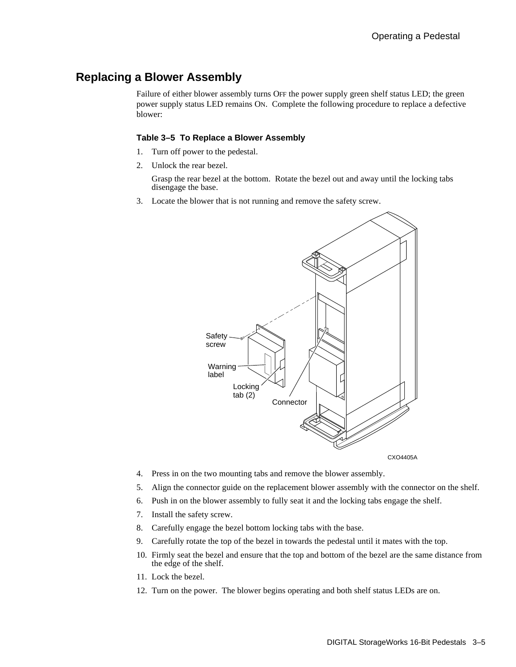### **Replacing a Blower Assembly**

Failure of either blower assembly turns OFF the power supply green shelf status LED; the green power supply status LED remains ON. Complete the following procedure to replace a defective blower:

#### **Table 3–5 To Replace a Blower Assembly**

- 1. Turn off power to the pedestal.
- 2. Unlock the rear bezel.

 Grasp the rear bezel at the bottom. Rotate the bezel out and away until the locking tabs disengage the base.

3. Locate the blower that is not running and remove the safety screw.



CXO4405A

- 4. Press in on the two mounting tabs and remove the blower assembly.
- 5. Align the connector guide on the replacement blower assembly with the connector on the shelf.
- 6. Push in on the blower assembly to fully seat it and the locking tabs engage the shelf.
- 7. Install the safety screw.
- 8. Carefully engage the bezel bottom locking tabs with the base.
- 9. Carefully rotate the top of the bezel in towards the pedestal until it mates with the top.
- 10. Firmly seat the bezel and ensure that the top and bottom of the bezel are the same distance from the edge of the shelf.
- 11. Lock the bezel.
- 12. Turn on the power. The blower begins operating and both shelf status LEDs are on.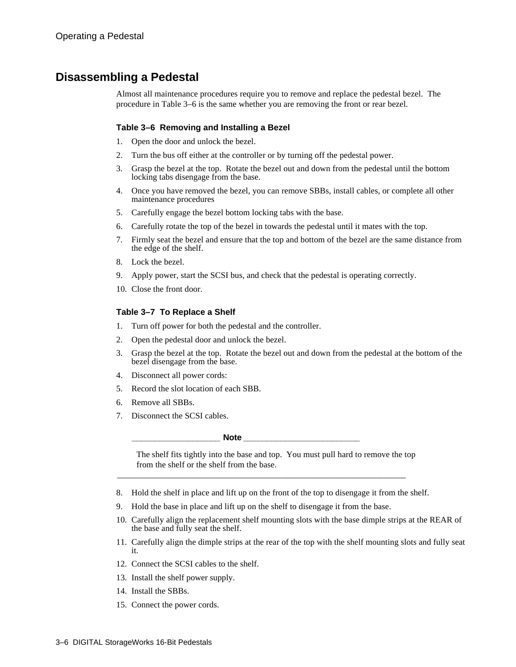### **Disassembling a Pedestal**

Almost all maintenance procedures require you to remove and replace the pedestal bezel. The procedure in Table 3–6 is the same whether you are removing the front or rear bezel.

#### **Table 3–6 Removing and Installing a Bezel**

- 1. Open the door and unlock the bezel.
- 2. Turn the bus off either at the controller or by turning off the pedestal power.
- 3. Grasp the bezel at the top. Rotate the bezel out and down from the pedestal until the bottom locking tabs disengage from the base.
- 4. Once you have removed the bezel, you can remove SBBs, install cables, or complete all other maintenance procedures
- 5. Carefully engage the bezel bottom locking tabs with the base.
- 6. Carefully rotate the top of the bezel in towards the pedestal until it mates with the top.
- 7. Firmly seat the bezel and ensure that the top and bottom of the bezel are the same distance from the edge of the shelf.
- 8. Lock the bezel.
- 9. Apply power, start the SCSI bus, and check that the pedestal is operating correctly.
- 10. Close the front door.

#### **Table 3–7 To Replace a Shelf**

- 1. Turn off power for both the pedestal and the controller.
- 2. Open the pedestal door and unlock the bezel.
- 3. Grasp the bezel at the top. Rotate the bezel out and down from the pedestal at the bottom of the bezel disengage from the base.
- 4. Disconnect all power cords:
- 5. Record the slot location of each SBB.
- 6. Remove all SBBs.
- 7. Disconnect the SCSI cables.

**\_\_\_\_\_\_\_\_\_\_\_\_\_\_\_\_\_\_\_ Note \_\_\_\_\_\_\_\_\_\_\_\_\_\_\_\_\_\_\_\_\_\_\_\_\_**

The shelf fits tightly into the base and top. You must pull hard to remove the top from the shelf or the shelf from the base.

8. Hold the shelf in place and lift up on the front of the top to disengage it from the shelf.

\_\_\_\_\_\_\_\_\_\_\_\_\_\_\_\_\_\_\_\_\_\_\_\_\_\_\_\_\_\_\_\_\_\_\_\_\_\_\_\_\_\_\_\_\_\_\_\_\_\_\_\_\_\_\_\_\_\_\_\_\_\_\_\_\_\_\_\_

- 9. Hold the base in place and lift up on the shelf to disengage it from the base.
- 10. Carefully align the replacement shelf mounting slots with the base dimple strips at the REAR of the base and fully seat the shelf.
- 11. Carefully align the dimple strips at the rear of the top with the shelf mounting slots and fully seat it.
- 12. Connect the SCSI cables to the shelf.
- 13. Install the shelf power supply.
- 14. Install the SBBs.
- 15. Connect the power cords.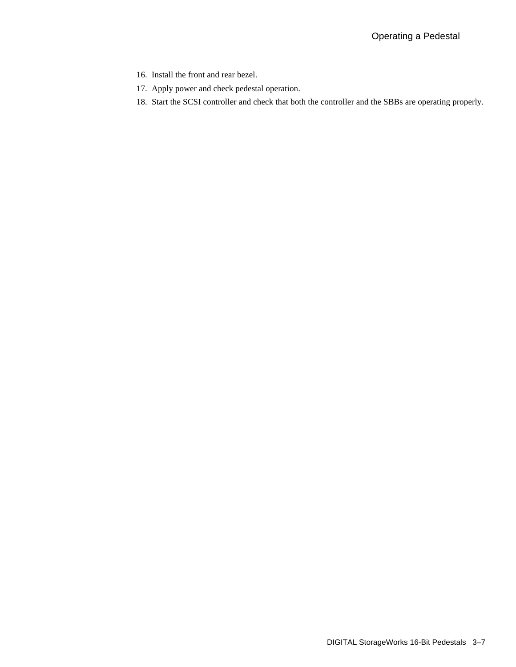- 16. Install the front and rear bezel.
- 17. Apply power and check pedestal operation.
- 18. Start the SCSI controller and check that both the controller and the SBBs are operating properly.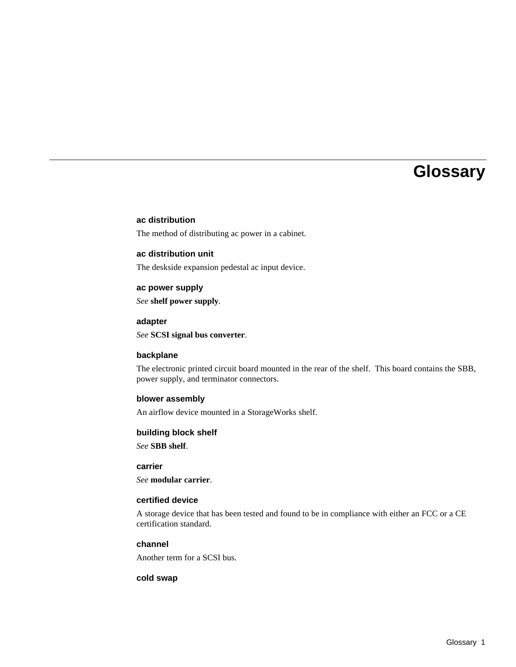## **Glossary**

#### **ac distribution**

The method of distributing ac power in a cabinet.

#### **ac distribution unit**

The deskside expansion pedestal ac input device.

#### **ac power supply**

*See* **shelf power supply**.

#### **adapter**

*See* **SCSI signal bus converter**.

#### **backplane**

The electronic printed circuit board mounted in the rear of the shelf. This board contains the SBB, power supply, and terminator connectors.

#### **blower assembly**

An airflow device mounted in a StorageWorks shelf.

#### **building block shelf**

*See* **SBB shelf**.

#### **carrier**

*See* **modular carrier**.

#### **certified device**

A storage device that has been tested and found to be in compliance with either an FCC or a CE certification standard.

#### **channel**

Another term for a SCSI bus.

#### **cold swap**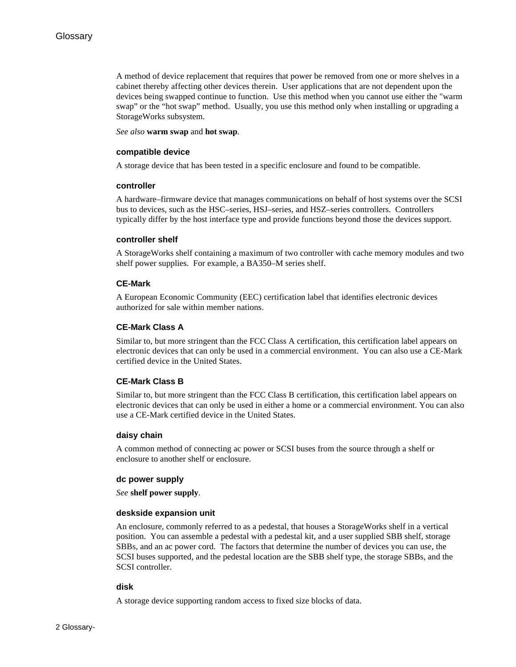A method of device replacement that requires that power be removed from one or more shelves in a cabinet thereby affecting other devices therein. User applications that are not dependent upon the devices being swapped continue to function. Use this method when you cannot use either the "warm swap" or the "hot swap" method. Usually, you use this method only when installing or upgrading a StorageWorks subsystem.

*See also* **warm swap** and **hot swap**.

#### **compatible device**

A storage device that has been tested in a specific enclosure and found to be compatible.

#### **controller**

A hardware–firmware device that manages communications on behalf of host systems over the SCSI bus to devices, such as the HSC–series, HSJ–series, and HSZ–series controllers. Controllers typically differ by the host interface type and provide functions beyond those the devices support.

#### **controller shelf**

A StorageWorks shelf containing a maximum of two controller with cache memory modules and two shelf power supplies. For example, a BA350–M series shelf.

#### **CE-Mark**

A European Economic Community (EEC) certification label that identifies electronic devices authorized for sale within member nations.

#### **CE-Mark Class A**

Similar to, but more stringent than the FCC Class A certification, this certification label appears on electronic devices that can only be used in a commercial environment. You can also use a CE-Mark certified device in the United States.

#### **CE-Mark Class B**

Similar to, but more stringent than the FCC Class B certification, this certification label appears on electronic devices that can only be used in either a home or a commercial environment. You can also use a CE-Mark certified device in the United States.

#### **daisy chain**

A common method of connecting ac power or SCSI buses from the source through a shelf or enclosure to another shelf or enclosure.

#### **dc power supply**

*See* **shelf power supply**.

#### **deskside expansion unit**

An enclosure, commonly referred to as a pedestal, that houses a StorageWorks shelf in a vertical position. You can assemble a pedestal with a pedestal kit, and a user supplied SBB shelf, storage SBBs, and an ac power cord. The factors that determine the number of devices you can use, the SCSI buses supported, and the pedestal location are the SBB shelf type, the storage SBBs, and the SCSI controller.

#### **disk**

A storage device supporting random access to fixed size blocks of data.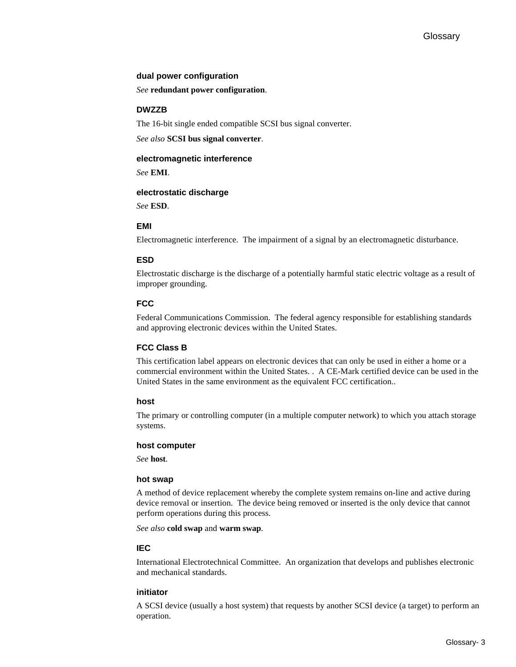#### **dual power configuration**

*See* **redundant power configuration**.

#### **DWZZB**

The 16-bit single ended compatible SCSI bus signal converter.

*See also* **SCSI bus signal converter**.

#### **electromagnetic interference**

*See* **EMI**.

#### **electrostatic discharge**

*See* **ESD**.

#### **EMI**

Electromagnetic interference. The impairment of a signal by an electromagnetic disturbance.

#### **ESD**

Electrostatic discharge is the discharge of a potentially harmful static electric voltage as a result of improper grounding.

#### **FCC**

Federal Communications Commission. The federal agency responsible for establishing standards and approving electronic devices within the United States.

#### **FCC Class B**

This certification label appears on electronic devices that can only be used in either a home or a commercial environment within the United States. . A CE-Mark certified device can be used in the United States in the same environment as the equivalent FCC certification..

#### **host**

The primary or controlling computer (in a multiple computer network) to which you attach storage systems.

#### **host computer**

*See* **host**.

#### **hot swap**

A method of device replacement whereby the complete system remains on-line and active during device removal or insertion. The device being removed or inserted is the only device that cannot perform operations during this process.

*See also* **cold swap** and **warm swap**.

#### **IEC**

International Electrotechnical Committee. An organization that develops and publishes electronic and mechanical standards.

#### **initiator**

A SCSI device (usually a host system) that requests by another SCSI device (a target) to perform an operation.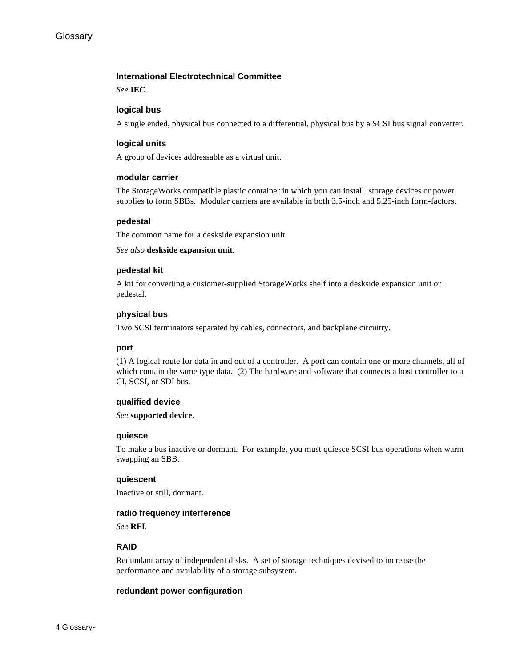#### **International Electrotechnical Committee**

*See* **IEC**.

#### **logical bus**

A single ended, physical bus connected to a differential, physical bus by a SCSI bus signal converter.

#### **logical units**

A group of devices addressable as a virtual unit.

#### **modular carrier**

The StorageWorks compatible plastic container in which you can install storage devices or power supplies to form SBBs. Modular carriers are available in both 3.5-inch and 5.25-inch form-factors.

#### **pedestal**

The common name for a deskside expansion unit.

*See also* **deskside expansion unit**.

#### **pedestal kit**

A kit for converting a customer-supplied StorageWorks shelf into a deskside expansion unit or pedestal.

#### **physical bus**

Two SCSI terminators separated by cables, connectors, and backplane circuitry.

#### **port**

(1) A logical route for data in and out of a controller. A port can contain one or more channels, all of which contain the same type data. (2) The hardware and software that connects a host controller to a CI, SCSI, or SDI bus.

#### **qualified device**

*See* **supported device**.

#### **quiesce**

To make a bus inactive or dormant. For example, you must quiesce SCSI bus operations when warm swapping an SBB.

#### **quiescent**

Inactive or still, dormant.

#### **radio frequency interference**

*See* **RFI**.

#### **RAID**

Redundant array of independent disks. A set of storage techniques devised to increase the performance and availability of a storage subsystem.

#### **redundant power configuration**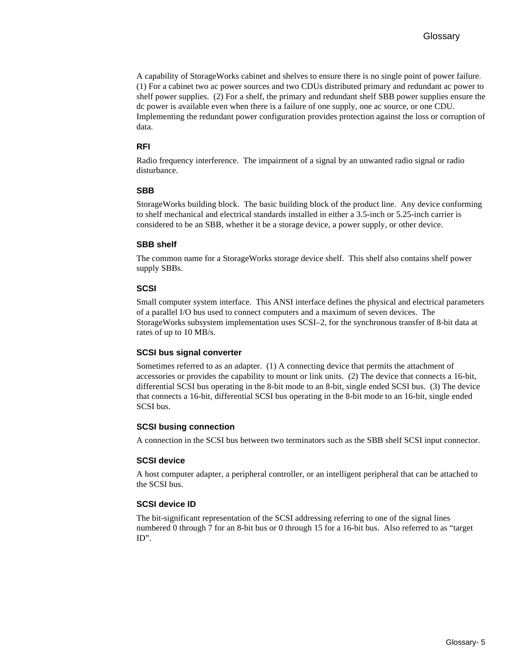A capability of StorageWorks cabinet and shelves to ensure there is no single point of power failure. (1) For a cabinet two ac power sources and two CDUs distributed primary and redundant ac power to shelf power supplies. (2) For a shelf, the primary and redundant shelf SBB power supplies ensure the dc power is available even when there is a failure of one supply, one ac source, or one CDU. Implementing the redundant power configuration provides protection against the loss or corruption of data.

#### **RFI**

Radio frequency interference. The impairment of a signal by an unwanted radio signal or radio disturbance.

#### **SBB**

StorageWorks building block. The basic building block of the product line. Any device conforming to shelf mechanical and electrical standards installed in either a 3.5-inch or 5.25-inch carrier is considered to be an SBB, whether it be a storage device, a power supply, or other device.

#### **SBB shelf**

The common name for a StorageWorks storage device shelf. This shelf also contains shelf power supply SBBs.

#### **SCSI**

Small computer system interface. This ANSI interface defines the physical and electrical parameters of a parallel I/O bus used to connect computers and a maximum of seven devices. The StorageWorks subsystem implementation uses SCSI–2, for the synchronous transfer of 8-bit data at rates of up to 10 MB/s.

#### **SCSI bus signal converter**

Sometimes referred to as an adapter. (1) A connecting device that permits the attachment of accessories or provides the capability to mount or link units. (2) The device that connects a 16-bit, differential SCSI bus operating in the 8-bit mode to an 8-bit, single ended SCSI bus. (3) The device that connects a 16-bit, differential SCSI bus operating in the 8-bit mode to an 16-bit, single ended SCSI bus.

#### **SCSI busing connection**

A connection in the SCSI bus between two terminators such as the SBB shelf SCSI input connector.

#### **SCSI device**

A host computer adapter, a peripheral controller, or an intelligent peripheral that can be attached to the SCSI bus.

#### **SCSI device ID**

The bit-significant representation of the SCSI addressing referring to one of the signal lines numbered 0 through 7 for an 8-bit bus or 0 through 15 for a 16-bit bus. Also referred to as "target ID".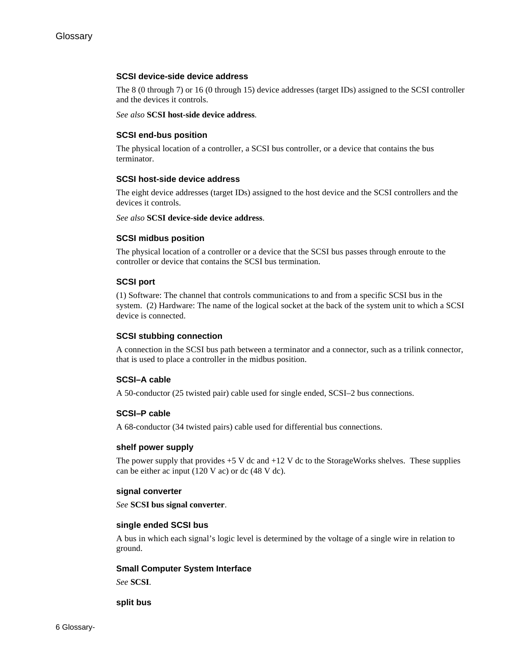#### **SCSI device-side device address**

The 8 (0 through 7) or 16 (0 through 15) device addresses (target IDs) assigned to the SCSI controller and the devices it controls.

*See also* **SCSI host-side device address**.

#### **SCSI end-bus position**

The physical location of a controller, a SCSI bus controller, or a device that contains the bus terminator.

#### **SCSI host-side device address**

The eight device addresses (target IDs) assigned to the host device and the SCSI controllers and the devices it controls.

*See also* **SCSI device-side device address**.

#### **SCSI midbus position**

The physical location of a controller or a device that the SCSI bus passes through enroute to the controller or device that contains the SCSI bus termination.

#### **SCSI port**

(1) Software: The channel that controls communications to and from a specific SCSI bus in the system. (2) Hardware: The name of the logical socket at the back of the system unit to which a SCSI device is connected.

#### **SCSI stubbing connection**

A connection in the SCSI bus path between a terminator and a connector, such as a trilink connector, that is used to place a controller in the midbus position.

#### **SCSI–A cable**

A 50-conductor (25 twisted pair) cable used for single ended, SCSI–2 bus connections.

#### **SCSI–P cable**

A 68-conductor (34 twisted pairs) cable used for differential bus connections.

#### **shelf power supply**

The power supply that provides  $+5$  V dc and  $+12$  V dc to the StorageWorks shelves. These supplies can be either ac input (120 V ac) or dc (48 V dc).

#### **signal converter**

*See* **SCSI bus signal converter**.

#### **single ended SCSI bus**

A bus in which each signal's logic level is determined by the voltage of a single wire in relation to ground.

#### **Small Computer System Interface**

*See* **SCSI**.

#### **split bus**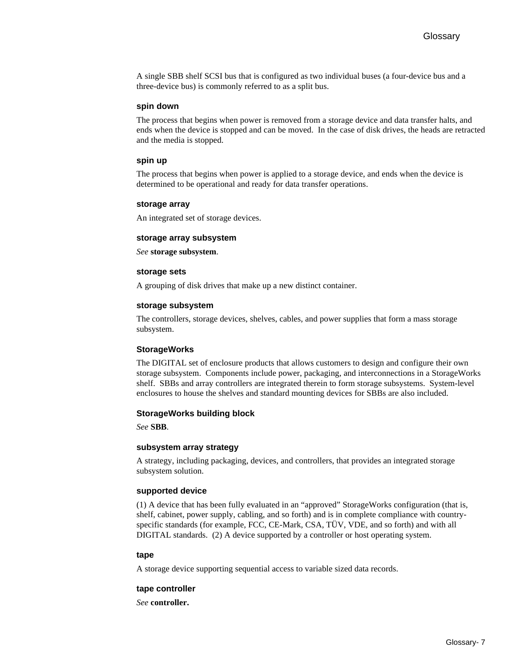A single SBB shelf SCSI bus that is configured as two individual buses (a four-device bus and a three-device bus) is commonly referred to as a split bus.

#### **spin down**

The process that begins when power is removed from a storage device and data transfer halts, and ends when the device is stopped and can be moved. In the case of disk drives, the heads are retracted and the media is stopped.

#### **spin up**

The process that begins when power is applied to a storage device, and ends when the device is determined to be operational and ready for data transfer operations.

#### **storage array**

An integrated set of storage devices.

#### **storage array subsystem**

*See* **storage subsystem**.

#### **storage sets**

A grouping of disk drives that make up a new distinct container.

#### **storage subsystem**

The controllers, storage devices, shelves, cables, and power supplies that form a mass storage subsystem.

#### **StorageWorks**

The DIGITAL set of enclosure products that allows customers to design and configure their own storage subsystem. Components include power, packaging, and interconnections in a StorageWorks shelf. SBBs and array controllers are integrated therein to form storage subsystems. System-level enclosures to house the shelves and standard mounting devices for SBBs are also included.

#### **StorageWorks building block**

*See* **SBB**.

#### **subsystem array strategy**

A strategy, including packaging, devices, and controllers, that provides an integrated storage subsystem solution.

#### **supported device**

(1) A device that has been fully evaluated in an "approved" StorageWorks configuration (that is, shelf, cabinet, power supply, cabling, and so forth) and is in complete compliance with countryspecific standards (for example, FCC, CE-Mark, CSA, TÜV, VDE, and so forth) and with all DIGITAL standards. (2) A device supported by a controller or host operating system.

#### **tape**

A storage device supporting sequential access to variable sized data records.

#### **tape controller**

*See* **controller.**